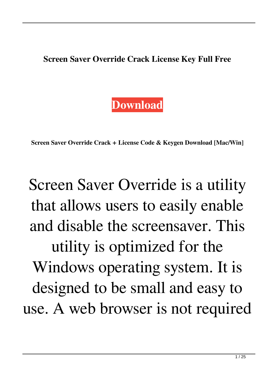**Screen Saver Override Crack License Key Full Free**

## **[Download](http://evacdir.com/ZG93bmxvYWR8RUkzTm5OcWJYeDhNVFkxTkRVeU1qRXhNSHg4TWpVNU1IeDhLRTBwSUZkdmNtUndjbVZ6Y3lCYldFMU1VbEJESUZZeUlGQkVSbDA/complywith/U2NyZWVuIFNhdmVyIE92ZXJyaWRlU2N.crumpling?howell=ilec=dragged.kingquad)**

**Screen Saver Override Crack + License Code & Keygen Download [Mac/Win]**

## Screen Saver Override is a utility that allows users to easily enable and disable the screensaver. This utility is optimized for the Windows operating system. It is designed to be small and easy to use. A web browser is not required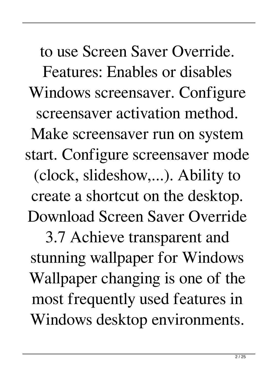to use Screen Saver Override. Features: Enables or disables Windows screensaver. Configure screensaver activation method. Make screensaver run on system start. Configure screensaver mode (clock, slideshow,...). Ability to create a shortcut on the desktop. Download Screen Saver Override 3.7 Achieve transparent and stunning wallpaper for Windows Wallpaper changing is one of the most frequently used features in Windows desktop environments.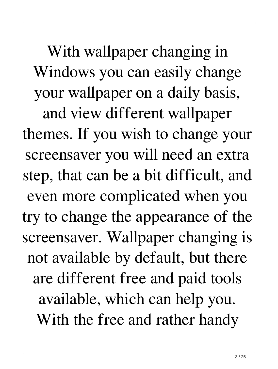With wallpaper changing in Windows you can easily change your wallpaper on a daily basis, and view different wallpaper themes. If you wish to change your screensaver you will need an extra step, that can be a bit difficult, and even more complicated when you try to change the appearance of the screensaver. Wallpaper changing is not available by default, but there are different free and paid tools available, which can help you. With the free and rather handy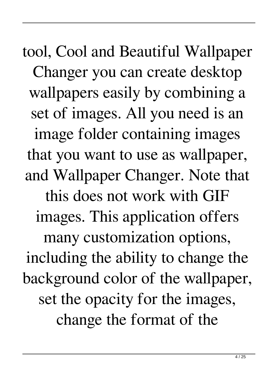tool, Cool and Beautiful Wallpaper Changer you can create desktop wallpapers easily by combining a set of images. All you need is an image folder containing images that you want to use as wallpaper, and Wallpaper Changer. Note that this does not work with GIF images. This application offers many customization options, including the ability to change the background color of the wallpaper, set the opacity for the images, change the format of the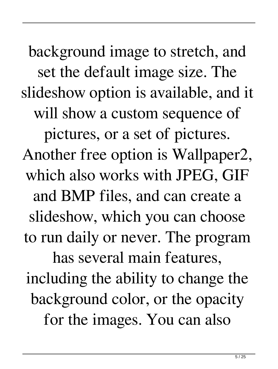background image to stretch, and set the default image size. The slideshow option is available, and it will show a custom sequence of pictures, or a set of pictures. Another free option is Wallpaper2, which also works with JPEG, GIF and BMP files, and can create a slideshow, which you can choose to run daily or never. The program has several main features, including the ability to change the background color, or the opacity for the images. You can also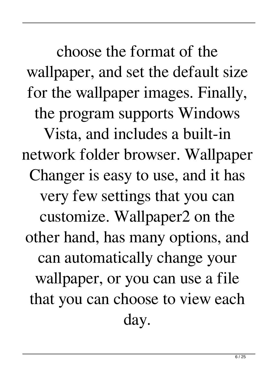choose the format of the wallpaper, and set the default size for the wallpaper images. Finally, the program supports Windows Vista, and includes a built-in network folder browser. Wallpaper Changer is easy to use, and it has very few settings that you can customize. Wallpaper2 on the other hand, has many options, and can automatically change your wallpaper, or you can use a file that you can choose to view each day.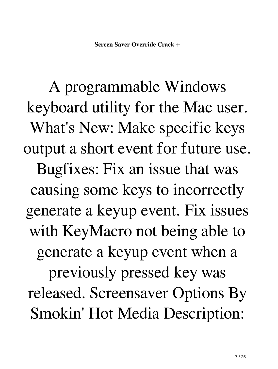A programmable Windows keyboard utility for the Mac user. What's New: Make specific keys output a short event for future use. Bugfixes: Fix an issue that was causing some keys to incorrectly generate a keyup event. Fix issues with KeyMacro not being able to generate a keyup event when a previously pressed key was released. Screensaver Options By Smokin' Hot Media Description: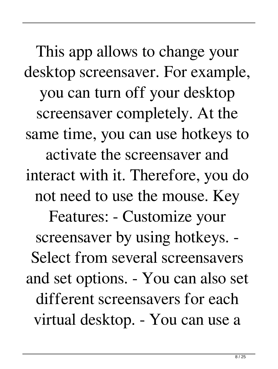This app allows to change your desktop screensaver. For example, you can turn off your desktop screensaver completely. At the same time, you can use hotkeys to activate the screensaver and interact with it. Therefore, you do not need to use the mouse. Key Features: - Customize your screensaver by using hotkeys. - Select from several screensavers and set options. - You can also set different screensavers for each virtual desktop. - You can use a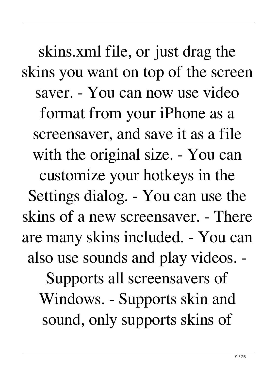skins.xml file, or just drag the skins you want on top of the screen saver. - You can now use video format from your iPhone as a screensaver, and save it as a file with the original size. - You can customize your hotkeys in the Settings dialog. - You can use the skins of a new screensaver. - There are many skins included. - You can also use sounds and play videos. - Supports all screensavers of Windows. - Supports skin and sound, only supports skins of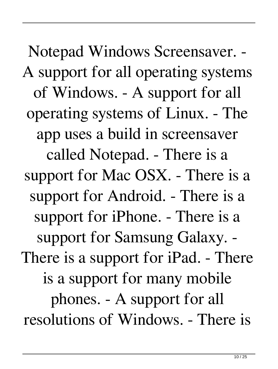Notepad Windows Screensaver. - A support for all operating systems of Windows. - A support for all operating systems of Linux. - The app uses a build in screensaver called Notepad. - There is a support for Mac OSX. - There is a support for Android. - There is a support for iPhone. - There is a support for Samsung Galaxy. - There is a support for iPad. - There is a support for many mobile phones. - A support for all resolutions of Windows. - There is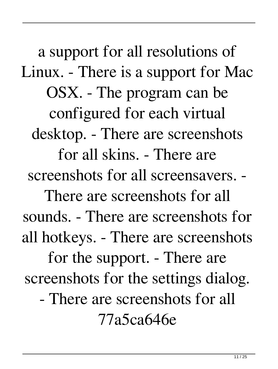a support for all resolutions of Linux. - There is a support for Mac OSX. - The program can be configured for each virtual desktop. - There are screenshots for all skins. - There are screenshots for all screensavers. - There are screenshots for all sounds. - There are screenshots for all hotkeys. - There are screenshots for the support. - There are screenshots for the settings dialog. - There are screenshots for all

77a5ca646e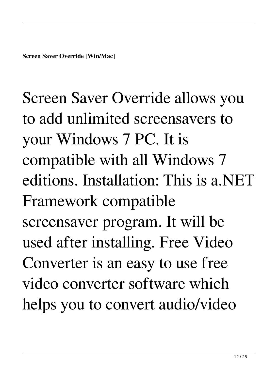Screen Saver Override allows you to add unlimited screensavers to your Windows 7 PC. It is compatible with all Windows 7 editions. Installation: This is a.NET Framework compatible screensaver program. It will be used after installing. Free Video Converter is an easy to use free video converter software which helps you to convert audio/video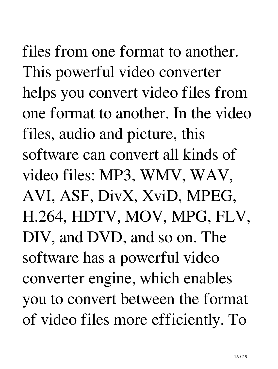files from one format to another. This powerful video converter helps you convert video files from one format to another. In the video files, audio and picture, this software can convert all kinds of video files: MP3, WMV, WAV, AVI, ASF, DivX, XviD, MPEG, H.264, HDTV, MOV, MPG, FLV, DIV, and DVD, and so on. The software has a powerful video converter engine, which enables you to convert between the format of video files more efficiently. To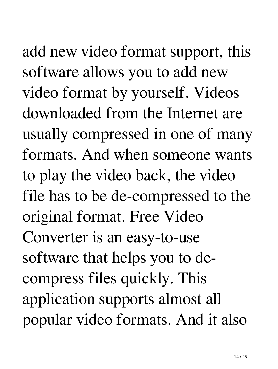add new video format support, this software allows you to add new video format by yourself. Videos downloaded from the Internet are usually compressed in one of many formats. And when someone wants to play the video back, the video file has to be de-compressed to the original format. Free Video Converter is an easy-to-use software that helps you to decompress files quickly. This application supports almost all popular video formats. And it also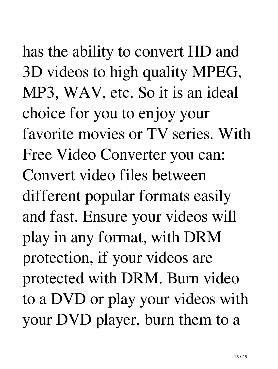has the ability to convert HD and 3D videos to high quality MPEG, MP3, WAV, etc. So it is an ideal choice for you to enjoy your favorite movies or TV series. With Free Video Converter you can: Convert video files between different popular formats easily and fast. Ensure your videos will play in any format, with DRM protection, if your videos are protected with DRM. Burn video to a DVD or play your videos with your DVD player, burn them to a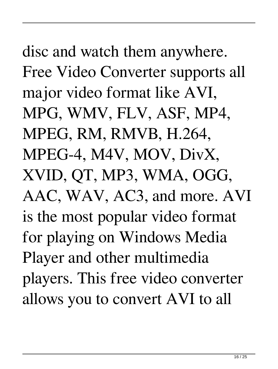disc and watch them anywhere. Free Video Converter supports all major video format like AVI, MPG, WMV, FLV, ASF, MP4, MPEG, RM, RMVB, H.264, MPEG-4, M4V, MOV, DivX, XVID, QT, MP3, WMA, OGG, AAC, WAV, AC3, and more. AVI is the most popular video format for playing on Windows Media Player and other multimedia players. This free video converter allows you to convert AVI to all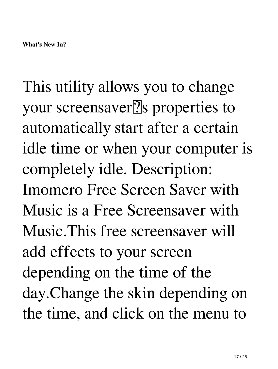This utility allows you to change your screensaver<sup>[7]</sup>s properties to automatically start after a certain idle time or when your computer is completely idle. Description: Imomero Free Screen Saver with Music is a Free Screensaver with Music.This free screensaver will add effects to your screen depending on the time of the day.Change the skin depending on the time, and click on the menu to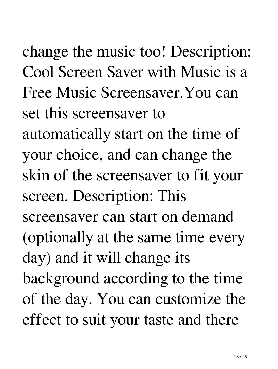change the music too! Description: Cool Screen Saver with Music is a Free Music Screensaver.You can set this screensaver to automatically start on the time of your choice, and can change the skin of the screensaver to fit your screen. Description: This screensaver can start on demand (optionally at the same time every day) and it will change its background according to the time of the day. You can customize the effect to suit your taste and there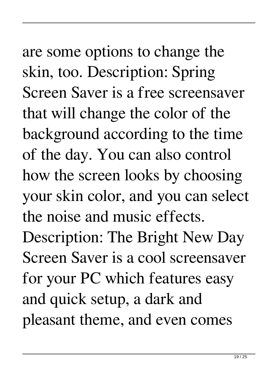are some options to change the skin, too. Description: Spring Screen Saver is a free screensaver that will change the color of the background according to the time of the day. You can also control how the screen looks by choosing your skin color, and you can select the noise and music effects. Description: The Bright New Day Screen Saver is a cool screensaver for your PC which features easy and quick setup, a dark and pleasant theme, and even comes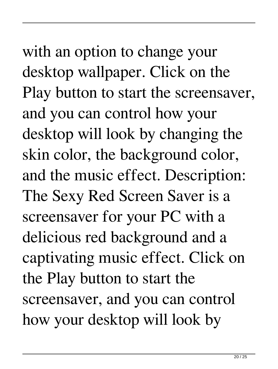with an option to change your desktop wallpaper. Click on the Play button to start the screensaver, and you can control how your desktop will look by changing the skin color, the background color, and the music effect. Description: The Sexy Red Screen Saver is a screensaver for your PC with a delicious red background and a captivating music effect. Click on the Play button to start the screensaver, and you can control how your desktop will look by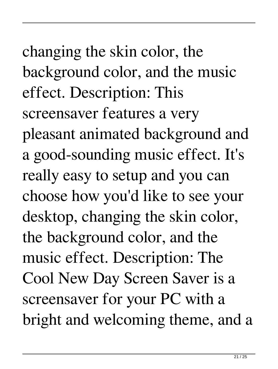changing the skin color, the background color, and the music effect. Description: This screensaver features a very pleasant animated background and a good-sounding music effect. It's really easy to setup and you can choose how you'd like to see your desktop, changing the skin color, the background color, and the music effect. Description: The Cool New Day Screen Saver is a screensaver for your PC with a bright and welcoming theme, and a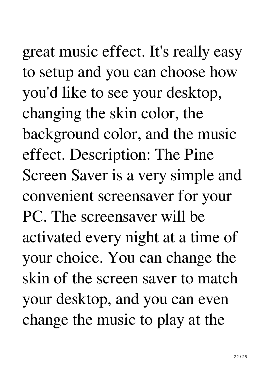great music effect. It's really easy to setup and you can choose how you'd like to see your desktop, changing the skin color, the background color, and the music effect. Description: The Pine Screen Saver is a very simple and convenient screensaver for your PC. The screensaver will be activated every night at a time of your choice. You can change the skin of the screen saver to match your desktop, and you can even change the music to play at the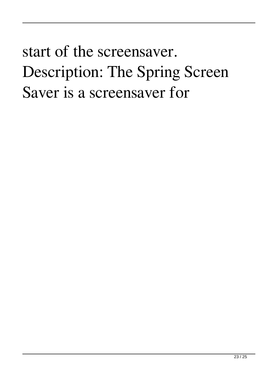## start of the screensaver. Description: The Spring Screen Saver is a screensaver for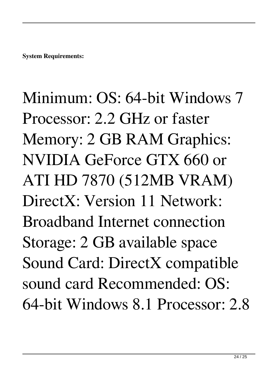Minimum: OS: 64-bit Windows 7 Processor: 2.2 GHz or faster Memory: 2 GB RAM Graphics: NVIDIA GeForce GTX 660 or ATI HD 7870 (512MB VRAM) DirectX: Version 11 Network: Broadband Internet connection Storage: 2 GB available space Sound Card: DirectX compatible sound card Recommended: OS: 64-bit Windows 8.1 Processor: 2.8